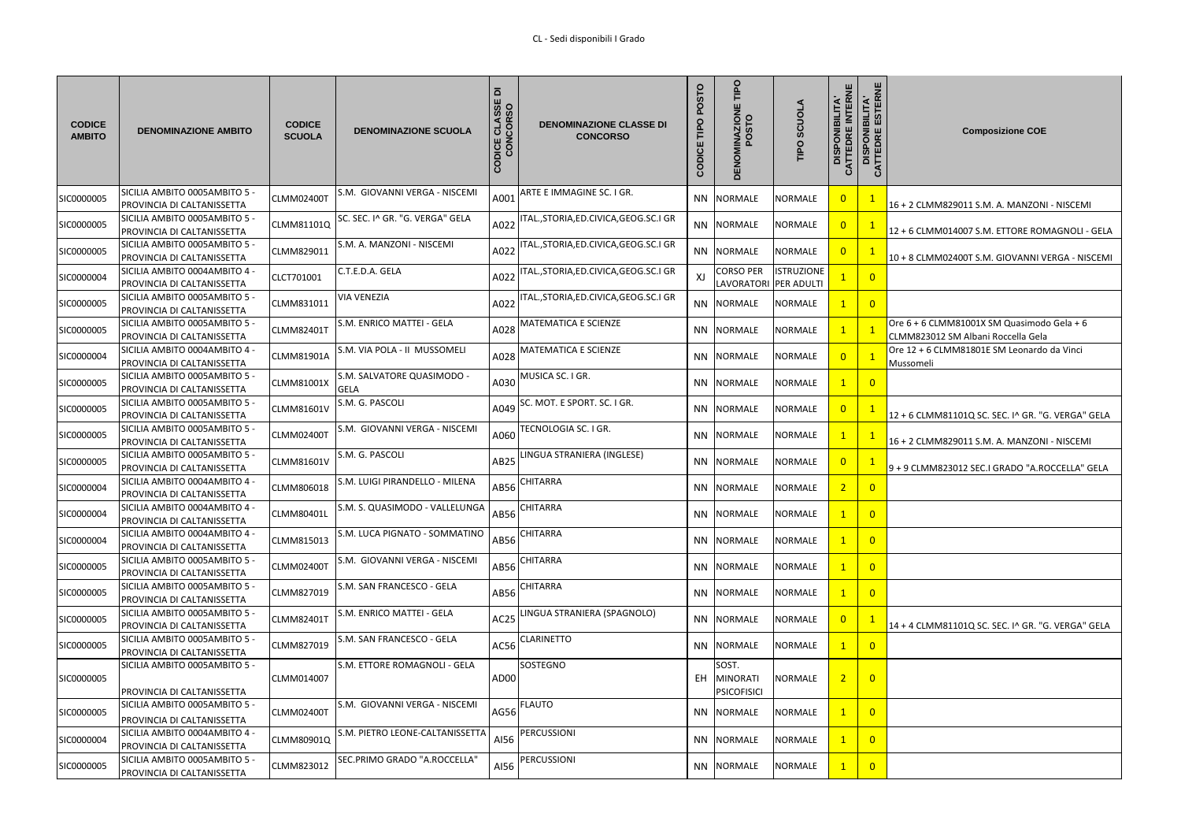| <b>CODICE</b><br><b>AMBITO</b> | <b>DENOMINAZIONE AMBITO</b>                                       | <b>CODICE</b><br><b>SCUOLA</b> | <b>DENOMINAZIONE SCUOLA</b>               | $\overline{\mathbf{a}}$<br>SSE<br>SO<br><u>금호</u><br>ш<br>ODICE<br>COM | <b>DENOMINAZIONE CLASSE DI</b><br><b>CONCORSO</b> | P<br>O<br>ш<br>DICI<br>O<br>ō | <b>IINAZIONE<br/>POSTO</b><br><b>DENOI</b> | <b>SCUOLA</b><br>TIPO | <b>INTERNE</b><br><b>DISPONIBILITA'</b><br>CATTEDRE INTERN | <b>DISPONIBILITA'<br/>TTEDRE ESTERNE</b><br>$\mathcal{S}$ | <b>Composizione COE</b>                                                            |
|--------------------------------|-------------------------------------------------------------------|--------------------------------|-------------------------------------------|------------------------------------------------------------------------|---------------------------------------------------|-------------------------------|--------------------------------------------|-----------------------|------------------------------------------------------------|-----------------------------------------------------------|------------------------------------------------------------------------------------|
| SIC0000005                     | SICILIA AMBITO 0005AMBITO 5 -<br>PROVINCIA DI CALTANISSETTA       | CLMM02400T                     | S.M. GIOVANNI VERGA - NISCEMI             | A001                                                                   | ARTE E IMMAGINE SC. I GR.                         |                               | NN NORMALE                                 | <b>NORMALE</b>        | $\overline{0}$                                             | $\overline{1}$                                            | 16 + 2 CLMM829011 S.M. A. MANZONI - NISCEMI                                        |
| SIC0000005                     | SICILIA AMBITO 0005AMBITO 5 -<br>PROVINCIA DI CALTANISSETTA       | CLMM81101Q                     | SC. SEC. I^ GR. "G. VERGA" GELA           | A022                                                                   | ITAL., STORIA, ED. CIVICA, GEOG. SC. I GR         |                               | NN NORMALE                                 | <b>NORMALE</b>        | $\overline{0}$                                             | $\mathbf{1}$                                              | 12 + 6 CLMM014007 S.M. ETTORE ROMAGNOLI - GELA                                     |
| SIC0000005                     | SICILIA AMBITO 0005AMBITO 5 -<br>PROVINCIA DI CALTANISSETTA       | CLMM829011                     | S.M. A. MANZONI - NISCEMI                 | A022                                                                   | ITAL., STORIA, ED. CIVICA, GEOG. SC. I GR         |                               | NN NORMALE                                 | <b>NORMALE</b>        | $\overline{0}$                                             | $\mathbf{1}$                                              | 10 + 8 CLMM02400T S.M. GIOVANNI VERGA - NISCEMI                                    |
| SIC0000004                     | $SICILIA AMBITO 0004AMBITO 4 -$<br>PROVINCIA DI CALTANISSETTA     | CLCT701001                     | C.T.E.D.A. GELA                           | A022                                                                   | TAL.,STORIA,ED.CIVICA,GEOG.SC.I GR                | XJ                            | CORSO PER<br>LAVORATORI PER ADULTI         | <b>ISTRUZIONE</b>     |                                                            | $\overline{0}$                                            |                                                                                    |
| SIC0000005                     | SICILIA AMBITO 0005AMBITO 5 -<br>PROVINCIA DI CALTANISSETTA       | CLMM831011                     | <b>VIA VENEZIA</b>                        | A022                                                                   | ITAL., STORIA, ED. CIVICA, GEOG. SC. I GR         |                               | NN NORMALE                                 | <b>NORMALE</b>        | $\mathbf{1}$                                               | $\overline{0}$                                            |                                                                                    |
| SIC0000005                     | SICILIA AMBITO 0005AMBITO 5 -<br>PROVINCIA DI CALTANISSETTA       | <b>CLMM82401T</b>              | S.M. ENRICO MATTEI - GELA                 | A028                                                                   | MATEMATICA E SCIENZE                              |                               | NN NORMALE                                 | <b>NORMALE</b>        | $\overline{1}$                                             |                                                           | Ore $6 + 6$ CLMM81001X SM Quasimodo Gela + 6<br>CLMM823012 SM Albani Roccella Gela |
| SIC0000004                     | - SICILIA AMBITO 0004AMBITO 4<br>PROVINCIA DI CALTANISSETTA       | <b>CLMM81901A</b>              | S.M. VIA POLA - II MUSSOMELI              | A028                                                                   | MATEMATICA E SCIENZE                              |                               | NN NORMALE                                 | <b>NORMALE</b>        | $\overline{0}$                                             |                                                           | Ore 12 + 6 CLMM81801E SM Leonardo da Vinci<br>Mussomeli                            |
| SIC0000005                     | SICILIA AMBITO 0005AMBITO 5 $\cdot$<br>PROVINCIA DI CALTANISSETTA | <b>CLMM81001X</b>              | S.M. SALVATORE QUASIMODO -<br><b>GELA</b> | A030                                                                   | MUSICA SC. I GR.                                  |                               | NN NORMALE                                 | <b>NORMALE</b>        | $\mathbf{1}$                                               | $\overline{0}$                                            |                                                                                    |
| SIC0000005                     | SICILIA AMBITO 0005AMBITO 5 $\cdot$<br>PROVINCIA DI CALTANISSETTA | <b>CLMM81601V</b>              | S.M. G. PASCOLI                           | A049                                                                   | SC. MOT. E SPORT. SC. I GR.                       |                               | NN NORMALE                                 | <b>NORMALE</b>        | $\overline{0}$                                             |                                                           | 12 + 6 CLMM81101Q SC. SEC. I^ GR. "G. VERGA" GELA                                  |
| SIC0000005                     | SICILIA AMBITO 0005AMBITO 5 $\cdot$<br>PROVINCIA DI CALTANISSETTA | <b>CLMM02400T</b>              | S.M. GIOVANNI VERGA - NISCEMI             | A060                                                                   | TECNOLOGIA SC. I GR.                              |                               | NN NORMALE                                 | <b>NORMALE</b>        | $\mathbf{1}$                                               | $\mathbf{1}$                                              | 16 + 2 CLMM829011 S.M. A. MANZONI - NISCEMI                                        |
| SIC0000005                     | SICILIA AMBITO 0005AMBITO 5 ·<br>PROVINCIA DI CALTANISSETTA       | <b>CLMM81601V</b>              | S.M. G. PASCOLI                           | <b>AB25</b>                                                            | LINGUA STRANIERA (INGLESE)                        |                               | NN NORMALE                                 | <b>NORMALE</b>        | $\overline{0}$                                             |                                                           | $9 + 9$ CLMM823012 SEC.I GRADO "A.ROCCELLA" GELA                                   |
| SIC0000004                     | - SICILIA AMBITO 0004AMBITO 4<br>PROVINCIA DI CALTANISSETTA       | <b>CLMM806018</b>              | S.M. LUIGI PIRANDELLO - MILENA            | AB56                                                                   | <b>CHITARRA</b>                                   |                               | NN NORMALE                                 | NORMALE               | $\sqrt{2}$                                                 | $\overline{0}$                                            |                                                                                    |
| SIC0000004                     | SICILIA AMBITO 0004AMBITO 4 -<br>PROVINCIA DI CALTANISSETTA       | <b>CLMM80401L</b>              | S.M. S. QUASIMODO - VALLELUNGA            | AB56                                                                   | <b>CHITARRA</b>                                   |                               | NN NORMALE                                 | <b>NORMALE</b>        |                                                            | $\overline{0}$                                            |                                                                                    |
| SIC0000004                     | - SICILIA AMBITO 0004AMBITO 4<br>PROVINCIA DI CALTANISSETTA       | CLMM815013                     | S.M. LUCA PIGNATO - SOMMATINO             | AB56                                                                   | CHITARRA                                          |                               | NN NORMALE                                 | <b>NORMALE</b>        | $\mathbf{1}$                                               | $\overline{0}$                                            |                                                                                    |
| SIC0000005                     | SICILIA AMBITO 0005AMBITO 5 -<br>PROVINCIA DI CALTANISSETTA       | CLMM02400T                     | S.M. GIOVANNI VERGA - NISCEMI             | AB56                                                                   | CHITARRA                                          |                               | NN NORMALE                                 | <b>NORMALE</b>        | $\mathbf{1}$                                               | $\overline{0}$                                            |                                                                                    |
| SIC0000005                     | SICILIA AMBITO 0005AMBITO 5 -<br>PROVINCIA DI CALTANISSETTA       | CLMM827019                     | S.M. SAN FRANCESCO - GELA                 | AB56                                                                   | <b>CHITARRA</b>                                   |                               | NN NORMALE                                 | NORMALE               | $\mathbf{1}$                                               | $\overline{0}$                                            |                                                                                    |
| SIC0000005                     | SICILIA AMBITO 0005AMBITO 5 -<br>PROVINCIA DI CALTANISSETTA       | <b>CLMM82401T</b>              | S.M. ENRICO MATTEI - GELA                 | <b>AC25</b>                                                            | LINGUA STRANIERA (SPAGNOLO)                       |                               | NN NORMALE                                 | NORMALE               | $\overline{0}$                                             | $\mathbf{1}$                                              | 14 + 4 CLMM81101Q SC. SEC. I^ GR. "G. VERGA" GELA                                  |
| SIC0000005                     | SICILIA AMBITO 0005AMBITO 5 -<br>PROVINCIA DI CALTANISSETTA       | CLMM827019                     | S.M. SAN FRANCESCO - GELA                 | AC56                                                                   | <b>CLARINETTO</b>                                 |                               | NN NORMALE                                 | <b>NORMALE</b>        | $\mathbf{1}$                                               | $\overline{0}$                                            |                                                                                    |
| SIC0000005                     | SICILIA AMBITO 0005AMBITO 5 -                                     | CLMM014007                     | S.M. ETTORE ROMAGNOLI - GELA              | AD00                                                                   | SOSTEGNO                                          |                               | SOST.<br>EH MINORATI                       | NORMALE               | 2                                                          | $\overline{0}$                                            |                                                                                    |
|                                | PROVINCIA DI CALTANISSETTA<br>SICILIA AMBITO 0005AMBITO 5 -       |                                | S.M. GIOVANNI VERGA - NISCEMI             |                                                                        | <b>FLAUTO</b>                                     |                               | <b>PSICOFISICI</b>                         |                       |                                                            |                                                           |                                                                                    |
| SIC0000005                     | PROVINCIA DI CALTANISSETTA                                        | CLMM02400T                     |                                           | AG56                                                                   |                                                   |                               | NN NORMALE                                 | NORMALE               | $\mathbf{1}$                                               | $\overline{0}$                                            |                                                                                    |
| SIC0000004                     | - SICILIA AMBITO 0004AMBITO 4<br>PROVINCIA DI CALTANISSETTA       | <b>CLMM80901Q</b>              | S.M. PIETRO LEONE-CALTANISSETTA           | AI56                                                                   | PERCUSSIONI                                       |                               | NN NORMALE                                 | NORMALE               | $\mathbf{1}$                                               | $\overline{0}$                                            |                                                                                    |
| SIC0000005                     | SICILIA AMBITO 0005AMBITO 5 -<br>PROVINCIA DI CALTANISSETTA       | CLMM823012                     | SEC.PRIMO GRADO "A.ROCCELLA"              | AI56                                                                   | PERCUSSIONI                                       |                               | NN NORMALE                                 | <b>NORMALE</b>        |                                                            | $\overline{0}$                                            |                                                                                    |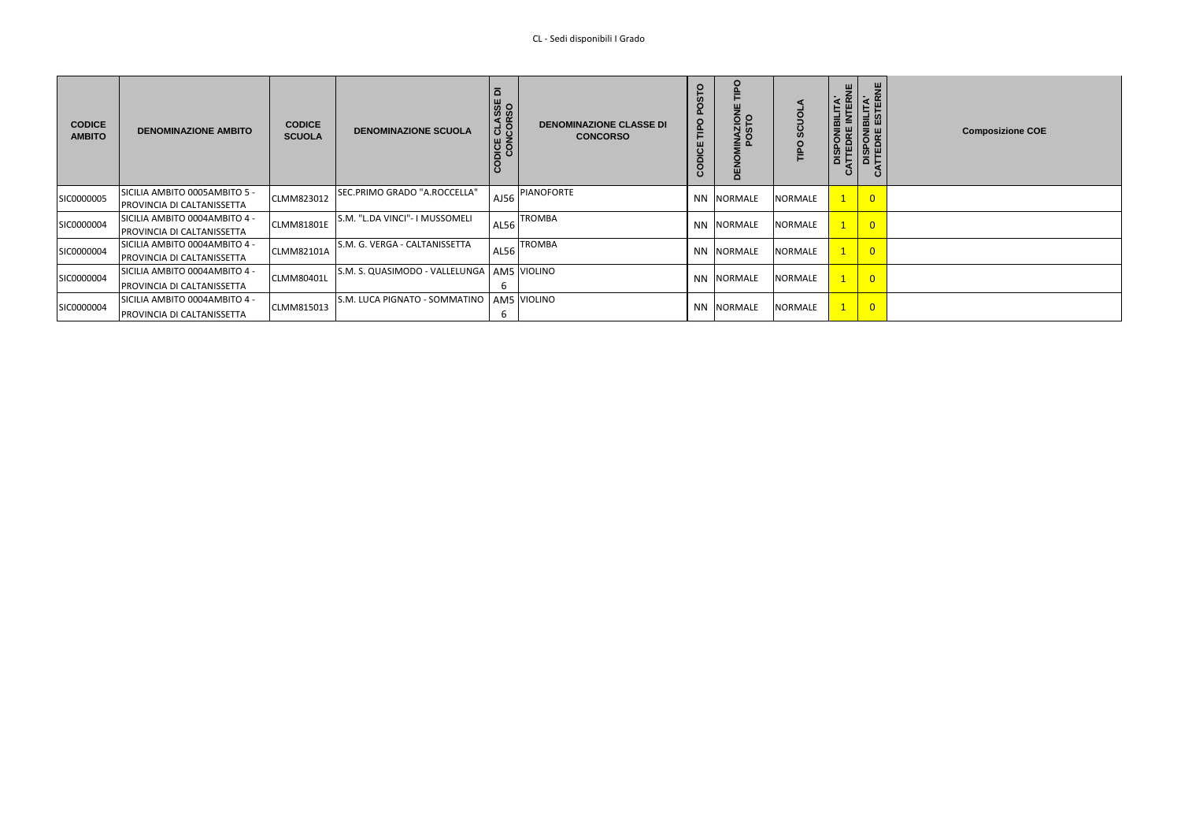| <b>CODICE</b><br><b>AMBITO</b> | <b>DENOMINAZIONE AMBITO</b>   | <b>CODICE</b><br><b>SCUOLA</b> | <b>DENOMINAZIONE SCUOLA</b>                             | $\overline{\mathbf{a}}$<br><b>CLASSE</b><br>CORSO<br>шz<br>$rac{1}{6}$<br>ပ္ပ | <b>DENOMINAZIONE CLASSE DI</b><br><b>CONCORSO</b> | O<br>Ddll  | <b>INAZIOI</b><br>POSTO<br>핑 | S<br><b>SC</b><br>TIPO | 븯<br>$\alpha$<br>DISPONIBILITA'<br>'ATTEDRE INTEDI<br><b>TEDRE</b><br>$\mathbf{o}$ | <b>BILITA'</b><br>ESTERI<br>$\frac{3}{2}$<br>$\mathbf C$ | <b>Composizione COE</b> |
|--------------------------------|-------------------------------|--------------------------------|---------------------------------------------------------|-------------------------------------------------------------------------------|---------------------------------------------------|------------|------------------------------|------------------------|------------------------------------------------------------------------------------|----------------------------------------------------------|-------------------------|
| SIC0000005                     | SICILIA AMBITO 0005AMBITO 5 - | CLMM823012                     | SEC.PRIMO GRADO "A.ROCCELLA"                            | AJ56                                                                          | <b>PIANOFORTE</b>                                 |            | NN NORMALE                   | NORMALE                |                                                                                    | $\overline{0}$                                           |                         |
|                                | PROVINCIA DI CALTANISSETTA    |                                |                                                         |                                                                               |                                                   |            |                              |                        |                                                                                    |                                                          |                         |
| SIC0000004                     | SICILIA AMBITO 0004AMBITO 4 - | <b>CLMM81801E</b>              | S.M. "L.DA VINCI"- I MUSSOMELI<br><b>TROMBA</b><br>AL56 |                                                                               |                                                   | NN NORMALE | NORMALE                      |                        | $\overline{0}$                                                                     |                                                          |                         |
|                                | PROVINCIA DI CALTANISSETTA    |                                |                                                         |                                                                               |                                                   |            |                              |                        |                                                                                    |                                                          |                         |
| SIC0000004                     | SICILIA AMBITO 0004AMBITO 4 - | <b>CLMM82101A</b>              | S.M. G. VERGA - CALTANISSETTA                           | AL56                                                                          | <b>TROMBA</b>                                     |            | NN NORMALE                   | NORMALE                |                                                                                    | $\overline{0}$                                           |                         |
|                                | PROVINCIA DI CALTANISSETTA    |                                |                                                         |                                                                               |                                                   |            |                              |                        |                                                                                    |                                                          |                         |
|                                | SICILIA AMBITO 0004AMBITO 4 - |                                | S.M. S. QUASIMODO - VALLELUNGA   AM5 VIOLINO            |                                                                               |                                                   |            |                              |                        |                                                                                    |                                                          |                         |
| SIC0000004                     | PROVINCIA DI CALTANISSETTA    | CLMM80401L                     | b                                                       |                                                                               |                                                   |            | NN NORMALE                   | NORMALE                |                                                                                    | $\overline{0}$                                           |                         |
| SIC0000004                     | SICILIA AMBITO 0004AMBITO 4 - |                                | S.M. LUCA PIGNATO - SOMMATINO                           |                                                                               | AM5 VIOLINO                                       |            |                              |                        |                                                                                    |                                                          |                         |
|                                | PROVINCIA DI CALTANISSETTA    | CLMM815013                     |                                                         |                                                                               |                                                   |            | NN NORMALE                   | NORMALE                |                                                                                    | $\overline{0}$                                           |                         |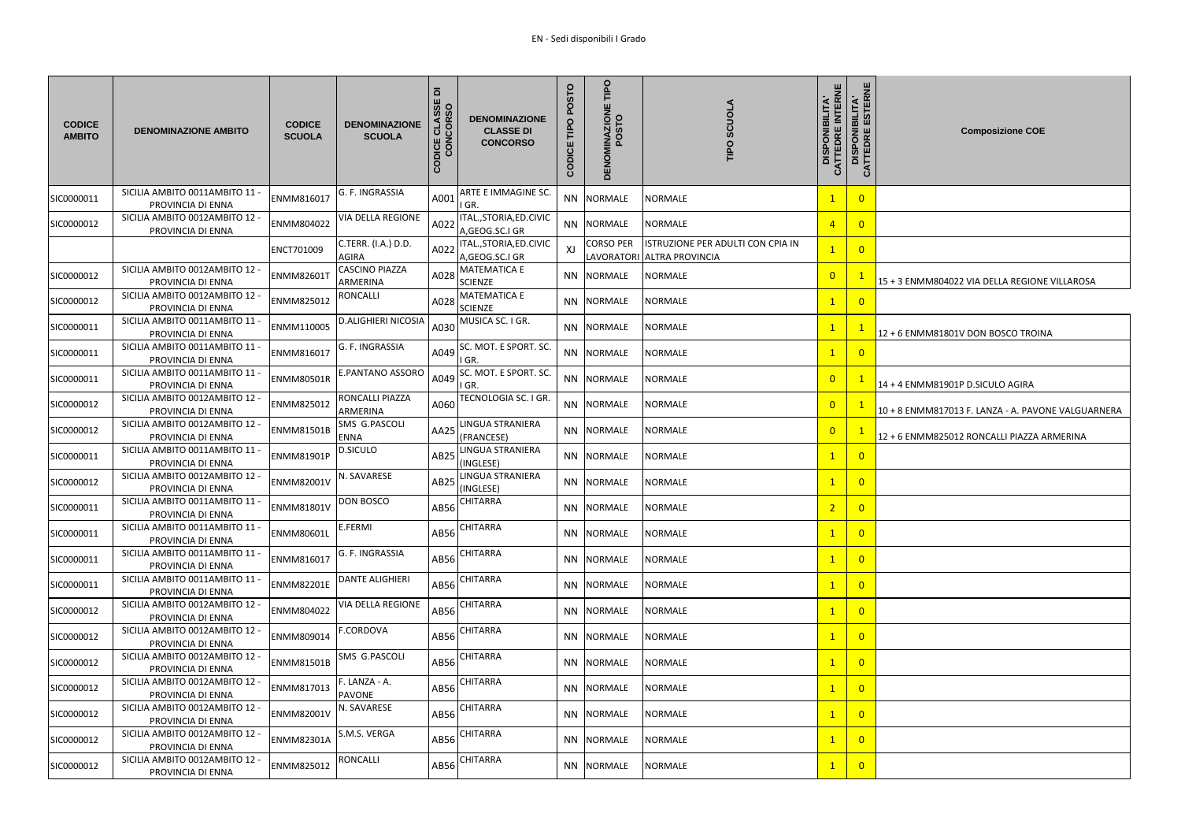| <b>CODICE</b><br><b>AMBITO</b> | <b>DENOMINAZIONE AMBITO</b>                         | <b>CODICE</b><br><b>SCUOLA</b> | <b>DENOMINAZIONE</b><br><b>SCUOLA</b> | $\overline{\mathbf{a}}$<br>CLASSE<br>CORSO<br>CODICE<br><b>NOC</b> | <b>DENOMINAZIONE</b><br><b>CLASSE DI</b><br><b>CONCORSO</b> | POSTO<br>O<br>Ĕ<br>CODICE | <b>TIPO</b><br><b>DENOMINAZIONE</b><br>POSTO | <b>SCUOLA</b><br>TIPO                                           |  |
|--------------------------------|-----------------------------------------------------|--------------------------------|---------------------------------------|--------------------------------------------------------------------|-------------------------------------------------------------|---------------------------|----------------------------------------------|-----------------------------------------------------------------|--|
| SIC0000011                     | SICILIA AMBITO 0011AMBITO 11 -<br>PROVINCIA DI ENNA | ENMM816017                     | G. F. INGRASSIA                       | A001                                                               | ARTE E IMMAGINE SC.<br>I GR.                                |                           | NN NORMALE                                   | <b>NORMALE</b>                                                  |  |
| SIC0000012                     | SICILIA AMBITO 0012AMBITO 12 -<br>PROVINCIA DI ENNA | ENMM804022                     | <b>VIA DELLA REGIONE</b>              | A022                                                               | ITAL., STORIA, ED. CIVIC<br>A, GEOG.SC.I GR                 | NN NORMALE                |                                              | <b>NORMALE</b>                                                  |  |
|                                |                                                     | ENCT701009                     | C.TERR. (I.A.) D.D.<br><b>AGIRA</b>   | A022                                                               | ITAL., STORIA, ED. CIVIC<br>A,GEOG.SC.I GR                  | XJ                        | <b>CORSO PER</b>                             | ISTRUZIONE PER ADULTI CON CPIA IN<br>LAVORATORI ALTRA PROVINCIA |  |
| SIC0000012                     | SICILIA AMBITO 0012AMBITO 12 -<br>PROVINCIA DI ENNA | <b>ENMM82601T</b>              | <b>CASCINO PIAZZA</b><br>ARMERINA     | A028                                                               | <b>MATEMATICA E</b><br><b>SCIENZE</b>                       |                           | NN NORMALE                                   | NORMALE                                                         |  |
| SIC0000012                     | SICILIA AMBITO 0012AMBITO 12 -<br>PROVINCIA DI ENNA | ENMM825012                     | <b>RONCALLI</b>                       | A028                                                               | <b>MATEMATICA E</b><br><b>SCIENZE</b>                       |                           | NN NORMALE                                   | <b>NORMALE</b>                                                  |  |
| SIC0000011                     | SICILIA AMBITO 0011AMBITO 11 -<br>PROVINCIA DI ENNA | ENMM110005                     | <b>D.ALIGHIERI NICOSIA</b>            | A030                                                               | MUSICA SC. I GR.                                            |                           | NN NORMALE                                   | <b>NORMALE</b>                                                  |  |
| SIC0000011                     | SICILIA AMBITO 0011AMBITO 11 -<br>PROVINCIA DI ENNA | ENMM816017                     | G. F. INGRASSIA                       | A049                                                               | SC. MOT. E SPORT. SC.<br>IGR.                               |                           | NN NORMALE                                   | <b>NORMALE</b>                                                  |  |
| SIC0000011                     | SICILIA AMBITO 0011AMBITO 11 -<br>PROVINCIA DI ENNA | <b>ENMM80501R</b>              | <b>E.PANTANO ASSORO</b>               | A049                                                               | SC. MOT. E SPORT. SC.<br>I GR.                              |                           | NN NORMALE                                   | <b>NORMALE</b>                                                  |  |
| SIC0000012                     | SICILIA AMBITO 0012AMBITO 12 -<br>PROVINCIA DI ENNA | ENMM825012                     | RONCALLI PIAZZA<br>ARMERINA           | A060                                                               | TECNOLOGIA SC. I GR.                                        |                           | NN NORMALE                                   | <b>NORMALE</b>                                                  |  |
| SIC0000012                     | SICILIA AMBITO 0012AMBITO 12 -<br>PROVINCIA DI ENNA | <b>ENMM81501B</b>              | SMS G.PASCOLI<br><b>ENNA</b>          | AA25                                                               | LINGUA STRANIERA<br>(FRANCESE)                              |                           | NN NORMALE                                   | <b>NORMALE</b>                                                  |  |
| SIC0000011                     | SICILIA AMBITO 0011AMBITO 11 -<br>PROVINCIA DI ENNA | <b>ENMM81901P</b>              | <b>D.SICULO</b>                       | AB <sub>25</sub>                                                   | LINGUA STRANIERA<br>(INGLESE)                               |                           | NN NORMALE                                   | NORMALE                                                         |  |
| SIC0000012                     | SICILIA AMBITO 0012AMBITO 12 -<br>PROVINCIA DI ENNA | <b>ENMM82001V</b>              | N. SAVARESE                           |                                                                    | AB25 LINGUA STRANIERA<br>(INGLESE)                          |                           | NN NORMALE                                   | NORMALE                                                         |  |
| SIC0000011                     | SICILIA AMBITO 0011AMBITO 11 -<br>PROVINCIA DI ENNA | <b>ENMM81801V</b>              | <b>DON BOSCO</b>                      | AB56                                                               | <b>CHITARRA</b>                                             |                           | NN NORMALE                                   | <b>NORMALE</b>                                                  |  |
| SIC0000011                     | SICILIA AMBITO 0011AMBITO 11 -<br>PROVINCIA DI ENNA | <b>ENMM80601L</b>              | E.FERMI                               | AB56                                                               | <b>CHITARRA</b>                                             |                           | NN NORMALE                                   | NORMALE                                                         |  |
| SIC0000011                     | SICILIA AMBITO 0011AMBITO 11 -<br>PROVINCIA DI ENNA | ENMM816017                     | G. F. INGRASSIA                       | AB56                                                               | <b>CHITARRA</b>                                             |                           | NN NORMALE                                   | <b>NORMALE</b>                                                  |  |
| SIC0000011                     | SICILIA AMBITO 0011AMBITO 11 -<br>PROVINCIA DI ENNA | <b>ENMM82201E</b>              | <b>DANTE ALIGHIERI</b>                | AB56                                                               | <b>CHITARRA</b>                                             |                           | NN NORMALE                                   | <b>NORMALE</b>                                                  |  |
| SIC0000012                     | SICILIA AMBITO 0012AMBITO 12 -<br>PROVINCIA DI ENNA | ENMM804022                     | <b>VIA DELLA REGIONE</b>              | AB56                                                               | <b>CHITARRA</b>                                             |                           | NN NORMALE                                   | NORMALE                                                         |  |
| SIC0000012                     | SICILIA AMBITO 0012AMBITO 12 -<br>PROVINCIA DI ENNA | ENMM809014                     | <b>F.CORDOVA</b>                      | AB56                                                               | <b>CHITARRA</b>                                             |                           | NN NORMALE                                   | <b>NORMALE</b>                                                  |  |
| SIC0000012                     | SICILIA AMBITO 0012AMBITO 12 -<br>PROVINCIA DI ENNA | <b>ENMM81501B</b>              | <b>SMS G.PASCOLI</b>                  | AB56                                                               | <b>CHITARRA</b>                                             |                           | NN NORMALE                                   | <b>NORMALE</b>                                                  |  |
| SIC0000012                     | SICILIA AMBITO 0012AMBITO 12 -<br>PROVINCIA DI ENNA | ENMM817013                     | F. LANZA - A.<br><b>PAVONE</b>        | AB56                                                               | <b>CHITARRA</b>                                             |                           | NN NORMALE                                   | NORMALE                                                         |  |
| SIC0000012                     | SICILIA AMBITO 0012AMBITO 12 -<br>PROVINCIA DI ENNA | <b>ENMM82001V</b>              | N. SAVARESE                           | AB56                                                               | <b>CHITARRA</b>                                             |                           | NN NORMALE                                   | <b>NORMALE</b>                                                  |  |
| SIC0000012                     | SICILIA AMBITO 0012AMBITO 12 -<br>PROVINCIA DI ENNA | <b>ENMM82301A</b>              | S.M.S. VERGA                          | AB56                                                               | <b>CHITARRA</b>                                             |                           | NN NORMALE                                   | NORMALE                                                         |  |
| SIC0000012                     | SICILIA AMBITO 0012AMBITO 12 -<br>PROVINCIA DI ENNA | ENMM825012                     | <b>RONCALLI</b>                       | AB56                                                               | <b>CHITARRA</b>                                             |                           | NN NORMALE                                   | NORMALE                                                         |  |

| <b>CATTEDRE INTERNE</b><br>DISPONIBILITA' | CATTEDRE ESTERNE<br>DISPONIBILITA' | <b>Composizione COE</b>                            |
|-------------------------------------------|------------------------------------|----------------------------------------------------|
| $\overline{1}$                            | $\overline{0}$                     |                                                    |
| $\overline{4}$                            | $\overline{0}$                     |                                                    |
| $\overline{1}$                            | $\overline{0}$                     |                                                    |
| $\overline{0}$                            | $\overline{1}$                     | 15 + 3 ENMM804022 VIA DELLA REGIONE VILLAROSA      |
| $\overline{1}$                            | $\overline{0}$                     |                                                    |
| $\mathbf{1}$                              | $\mathbf{1}$                       | 12 + 6 ENMM81801V DON BOSCO TROINA                 |
| $\overline{1}$                            | $\overline{0}$                     |                                                    |
| $\overline{0}$                            | $\overline{1}$                     | 14 + 4 ENMM81901P D.SICULO AGIRA                   |
| $\overline{0}$                            | $\overline{1}$                     | 10 + 8 ENMM817013 F. LANZA - A. PAVONE VALGUARNERA |
| $\overline{0}$                            | $\mathbf{1}$                       | 12 + 6 ENMM825012 RONCALLI PIAZZA ARMERINA         |
| $\overline{1}$                            | $\overline{0}$                     |                                                    |
| $\overline{1}$                            | $\overline{0}$                     |                                                    |
| $\overline{2}$                            | $\overline{0}$                     |                                                    |
| $\overline{1}$                            | $\overline{0}$                     |                                                    |
| $\mathbf{1}$                              | $\overline{0}$                     |                                                    |
| $\mathbf{1}$                              | $\overline{0}$                     |                                                    |
| $\overline{1}$                            | $\overline{0}$                     |                                                    |
| $\mathbf{1}$                              | $\overline{0}$                     |                                                    |
| $\overline{1}$                            | $\overline{0}$                     |                                                    |
| $\overline{1}$                            | $\overline{0}$                     |                                                    |
| $\mathbf{1}$                              | $\overline{0}$                     |                                                    |
| $\overline{1}$                            | $\overline{0}$                     |                                                    |
| $\overline{1}$                            | $\overline{0}$                     |                                                    |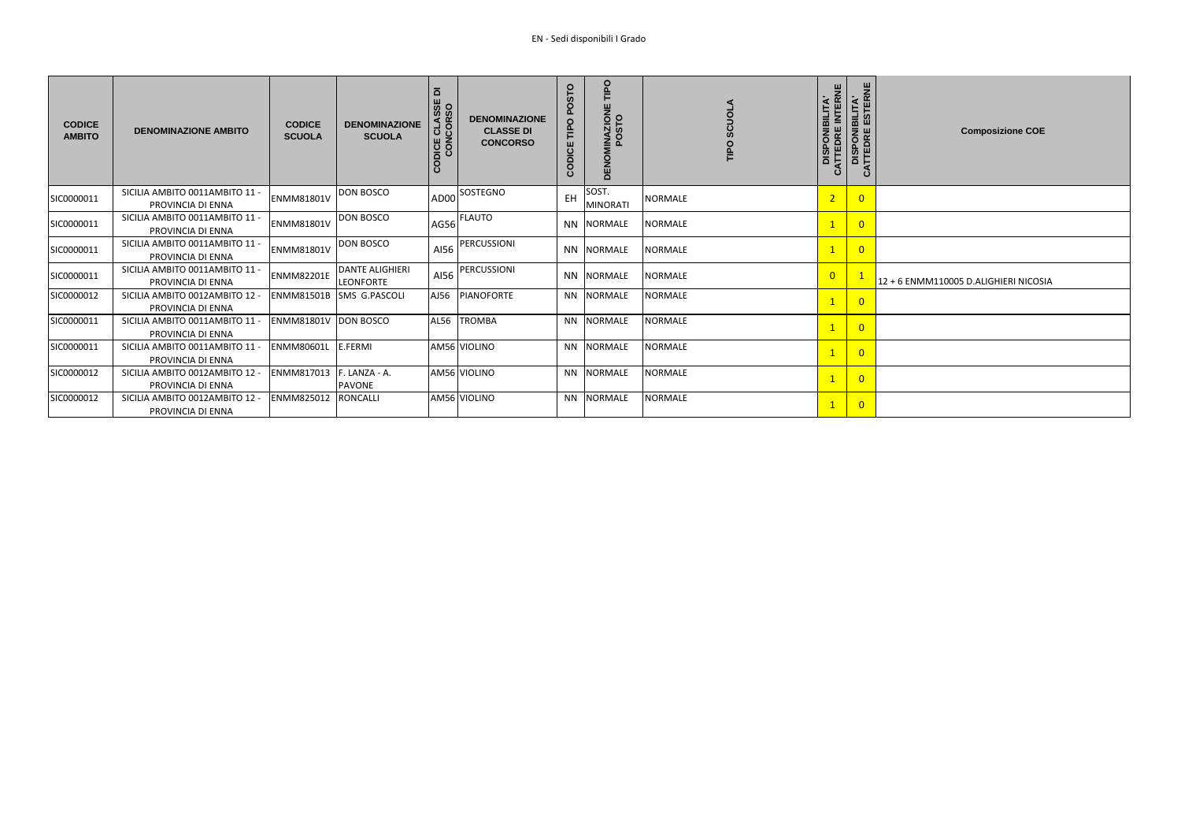| <b>CODICE</b><br><b>AMBITO</b> | <b>DENOMINAZIONE AMBITO</b>                         | <b>CODICE</b><br><b>SCUOLA</b> | <b>DENOMINAZIONE</b><br><b>SCUOLA</b>      | $\overline{\mathbf{d}}$<br>CLASSE<br>ICORSO<br>$\overline{5}$<br>CODICE | <b>DENOMINAZIONE</b><br><b>CLASSE DI</b><br><b>CONCORSO</b> | OSTO<br>Õ.<br>O<br>읃<br>CODICE | Ddil<br><b>DENOMINAZIONE</b><br><b>POSTO</b> | <b>SCUOLA</b><br><b>TIPO</b> |
|--------------------------------|-----------------------------------------------------|--------------------------------|--------------------------------------------|-------------------------------------------------------------------------|-------------------------------------------------------------|--------------------------------|----------------------------------------------|------------------------------|
| SIC0000011                     | SICILIA AMBITO 0011AMBITO 11 -<br>PROVINCIA DI ENNA | <b>ENMM81801V</b>              | DON BOSCO                                  | AD00                                                                    | <b>SOSTEGNO</b>                                             | EH                             | SOST.<br><b>MINORATI</b>                     | <b>NORMALE</b>               |
| SIC0000011                     | SICILIA AMBITO 0011AMBITO 11 -<br>PROVINCIA DI ENNA | <b>ENMM81801V</b>              | <b>DON BOSCO</b>                           |                                                                         | IAG56 FLAUTO                                                | <b>NN</b>                      | <b>NORMALE</b>                               | <b>NORMALE</b>               |
| SIC0000011                     | SICILIA AMBITO 0011AMBITO 11 -<br>PROVINCIA DI ENNA | <b>ENMM81801V</b>              | <b>DON BOSCO</b>                           | AI56                                                                    | PERCUSSIONI                                                 | <b>NN</b>                      | <b>NORMALE</b>                               | <b>NORMALE</b>               |
| SIC0000011                     | SICILIA AMBITO 0011AMBITO 11 -<br>PROVINCIA DI ENNA | <b>ENMM82201E</b>              | <b>DANTE ALIGHIERI</b><br><b>LEONFORTE</b> | AI56                                                                    | PERCUSSIONI                                                 | <b>NN</b>                      | <b>NORMALE</b>                               | <b>NORMALE</b>               |
| SIC0000012                     | SICILIA AMBITO 0012AMBITO 12 -<br>PROVINCIA DI ENNA | <b>ENMM81501B</b>              | SMS G.PASCOLI                              | AJ56                                                                    | PIANOFORTE                                                  | <b>NN</b>                      | <b>NORMALE</b>                               | <b>NORMALE</b>               |
| SIC0000011                     | SICILIA AMBITO 0011AMBITO 11 -<br>PROVINCIA DI ENNA | <b>ENMM81801V</b>              | <b>DON BOSCO</b>                           | <b>AL56</b>                                                             | <b>TROMBA</b>                                               | <b>NN</b>                      | <b>NORMALE</b>                               | <b>NORMALE</b>               |
| SIC0000011                     | SICILIA AMBITO 0011AMBITO 11 -<br>PROVINCIA DI ENNA | <b>ENMM80601L</b>              | E.FERMI                                    |                                                                         | AM56 VIOLINO                                                | NN.                            | <b>NORMALE</b>                               | <b>NORMALE</b>               |
| SIC0000012                     | SICILIA AMBITO 0012AMBITO 12 -<br>PROVINCIA DI ENNA | <b>ENMM817013</b>              | F. LANZA - A.<br><b>PAVONE</b>             |                                                                         | AM56 VIOLINO                                                | NN.                            | <b>NORMALE</b>                               | <b>NORMALE</b>               |
| SIC0000012                     | SICILIA AMBITO 0012AMBITO 12 -<br>PROVINCIA DI ENNA | <b>ENMM825012</b>              | <b>RONCALLI</b>                            |                                                                         | AM56 VIOLINO                                                | NN.                            | <b>NORMALE</b>                               | <b>NORMALE</b>               |

| <b>DISPONIBILITA'<br/>CATTEDRE INTERNE</b> | CATTEDRE ESTERNE<br>DISPONIBILITA' | <b>Composizione COE</b>               |
|--------------------------------------------|------------------------------------|---------------------------------------|
| $\overline{2}$                             | $\overline{0}$                     |                                       |
| $\overline{1}$                             | $\overline{0}$                     |                                       |
| $\overline{1}$                             | $\overline{0}$                     |                                       |
| $\overline{0}$                             | $\overline{1}$                     | 12 + 6 ENMM110005 D.ALIGHIERI NICOSIA |
| $\mathbf{1}$                               | $\overline{0}$                     |                                       |
| $\overline{1}$                             | $\overline{0}$                     |                                       |
| $\overline{1}$                             | $\overline{0}$                     |                                       |
| $\overline{1}$                             | $\overline{0}$                     |                                       |
| $\mathbf{1}$                               | $\overline{0}$                     |                                       |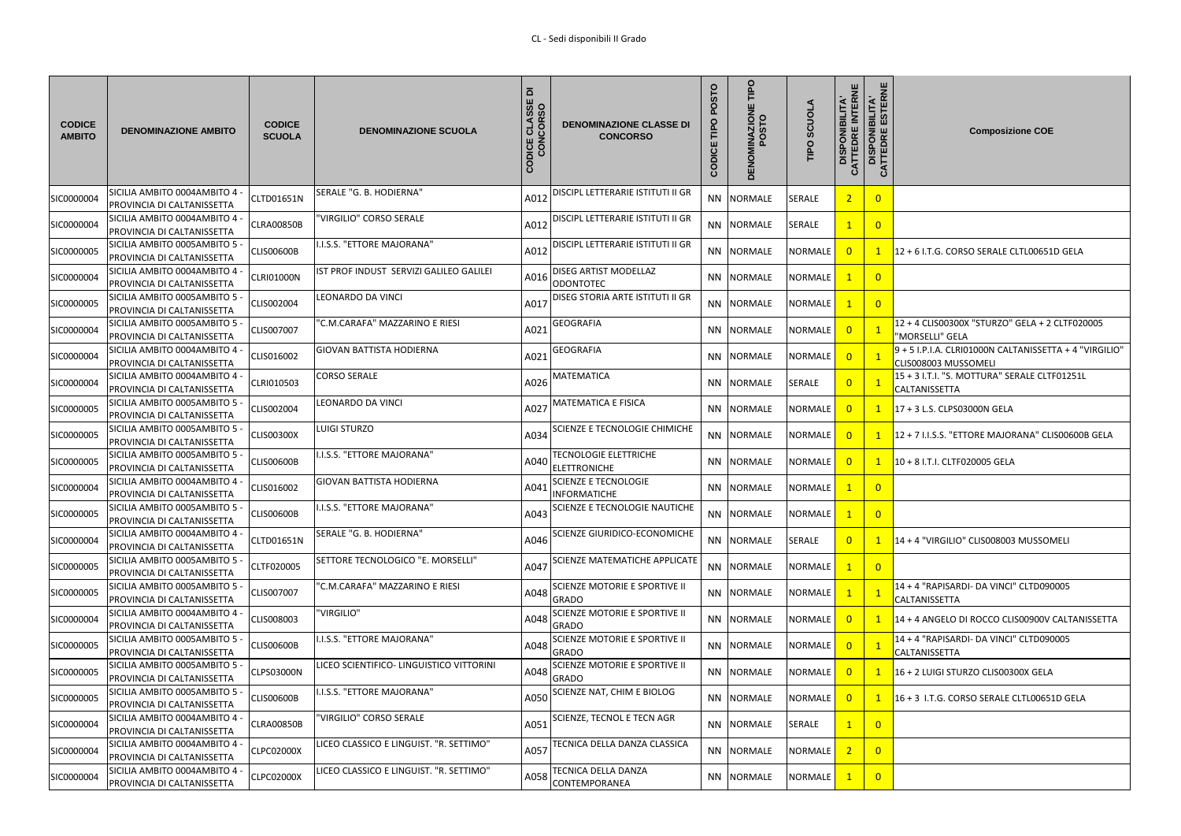| <b>CODICE</b><br><b>AMBITO</b> | <b>DENOMINAZIONE AMBITO</b>                                 | <b>CODICE</b><br><b>SCUOLA</b> | <b>DENOMINAZIONE SCUOLA</b>                    | $\overline{\mathbf{a}}$<br>CLASSE<br>CORSO<br>DICE<br>CON<br>$\overline{\mathsf{d}}$ | <b>DENOMINAZIONE CLASSE DI</b><br><b>CONCORSO</b>    | POSTO<br>TIPO<br>CODICE | TIPO<br><b>ZIONI</b><br>STO<br>ENO<br>$\overline{\Omega}$ | <b>SCUOLA</b><br>TIPO | <b>DISPONIBILITA'<br/>CATTEDRE INTERNE<br/>DISPONIBILITA'<br/>CATTEDRE ESTERNE</b><br>$\mathbf{o}$ |                | <b>Composizione COE</b>                                                        |
|--------------------------------|-------------------------------------------------------------|--------------------------------|------------------------------------------------|--------------------------------------------------------------------------------------|------------------------------------------------------|-------------------------|-----------------------------------------------------------|-----------------------|----------------------------------------------------------------------------------------------------|----------------|--------------------------------------------------------------------------------|
| SIC0000004                     | SICILIA AMBITO 0004AMBITO 4<br>PROVINCIA DI CALTANISSETTA   | CLTD01651N                     | SERALE "G. B. HODIERNA"                        | A012                                                                                 | DISCIPL LETTERARIE ISTITUTI II GR                    |                         | NN NORMALE                                                | <b>SERALE</b>         | $\overline{2}$                                                                                     | $\overline{0}$ |                                                                                |
| SIC0000004                     | SICILIA AMBITO 0004AMBITO 4<br>PROVINCIA DI CALTANISSETTA   | <b>CLRA00850B</b>              | 'VIRGILIO" CORSO SERALE                        | A012                                                                                 | DISCIPL LETTERARIE ISTITUTI II GR                    |                         | NN NORMALE                                                | <b>SERALE</b>         | $\mathbf{1}$                                                                                       | $\overline{0}$ |                                                                                |
| SIC0000005                     | SICILIA AMBITO 0005AMBITO 5<br>PROVINCIA DI CALTANISSETTA   | <b>CLISO0600B</b>              | .I.S.S. "ETTORE MAJORANA"                      | A012                                                                                 | DISCIPL LETTERARIE ISTITUTI II GR                    |                         | NN NORMALE                                                | <b>NORMALE</b>        | $\overline{0}$                                                                                     | $\mathbf{1}$   | 12 + 6 I.T.G. CORSO SERALE CLTL00651D GELA                                     |
| SIC0000004                     | SICILIA AMBITO 0004AMBITO 4<br>PROVINCIA DI CALTANISSETTA   | CLRI01000N                     | IST PROF INDUST SERVIZI GALILEO GALILEI        | A016                                                                                 | <b>DISEG ARTIST MODELLAZ</b><br><b>ODONTOTEC</b>     |                         | NN NORMALE                                                | <b>NORMALE</b>        | $\mathbf{1}$                                                                                       | $\overline{0}$ |                                                                                |
| SIC0000005                     | SICILIA AMBITO 0005AMBITO 5<br>PROVINCIA DI CALTANISSETTA   | CLIS002004                     | LEONARDO DA VINCI                              | A017                                                                                 | DISEG STORIA ARTE ISTITUTI II GR                     |                         | NN NORMALE                                                | NORMALE               | $\mathbf{1}$                                                                                       | $\overline{0}$ |                                                                                |
| SIC0000004                     | SICILIA AMBITO 0005AMBITO 5 -<br>PROVINCIA DI CALTANISSETTA | CLIS007007                     | 'C.M.CARAFA" MAZZARINO E RIESI                 | A02                                                                                  | <b>GEOGRAFIA</b>                                     |                         | NN NORMALE                                                | NORMALE               | $\overline{0}$                                                                                     |                | 12 + 4 CLIS00300X "STURZO" GELA + 2 CLTF020005<br>"MORSELLI" GELA              |
| SIC0000004                     | SICILIA AMBITO 0004AMBITO 4<br>PROVINCIA DI CALTANISSETTA   | CLIS016002                     | <b>GIOVAN BATTISTA HODIERNA</b>                | A021                                                                                 | <b>GEOGRAFIA</b>                                     |                         | NN NORMALE                                                | <b>NORMALE</b>        | $\overline{0}$                                                                                     |                | 9 + 5 I.P.I.A. CLRI01000N CALTANISSETTA + 4 "VIRGILIO"<br>CLIS008003 MUSSOMELI |
| SIC0000004                     | SICILIA AMBITO 0004AMBITO 4<br>PROVINCIA DI CALTANISSETTA   | CLRI010503                     | <b>CORSO SERALE</b>                            | A026                                                                                 | <b>MATEMATICA</b>                                    |                         | NN NORMALE                                                | <b>SERALE</b>         | $\overline{0}$                                                                                     |                | 15 + 3 I.T.I. "S. MOTTURA" SERALE CLTF01251L<br>CALTANISSETTA                  |
| SIC0000005                     | SICILIA AMBITO 0005AMBITO 5<br>PROVINCIA DI CALTANISSETTA   | CLIS002004                     | LEONARDO DA VINCI                              | A027                                                                                 | <b>MATEMATICA E FISICA</b>                           |                         | NN NORMALE                                                | <b>NORMALE</b>        | $\overline{0}$                                                                                     | $\mathbf{1}$   | 17 + 3 L.S. CLPS03000N GELA                                                    |
| SIC0000005                     | SICILIA AMBITO 0005AMBITO 5<br>PROVINCIA DI CALTANISSETTA   | CLISO0300X                     | <b>LUIGI STURZO</b>                            | A034                                                                                 | SCIENZE E TECNOLOGIE CHIMICHE                        |                         | NN NORMALE                                                | <b>NORMALE</b>        | $\overline{0}$                                                                                     | -1             | 12 + 7 I.I.S.S. "ETTORE MAJORANA" CLIS00600B GELA                              |
| SIC0000005                     | SICILIA AMBITO 0005AMBITO 5<br>PROVINCIA DI CALTANISSETTA   | <b>CLISO0600B</b>              | I.I.S.S. "ETTORE MAJORANA"                     | A040                                                                                 | <b>TECNOLOGIE ELETTRICHE</b><br><b>ELETTRONICHE</b>  |                         | NN NORMALE                                                | <b>NORMALE</b>        | $\overline{\mathbf{0}}$                                                                            | $\mathbf{1}$   | 10 + 8 I.T.I. CLTF020005 GELA                                                  |
| SIC0000004                     | SICILIA AMBITO 0004AMBITO 4 -<br>PROVINCIA DI CALTANISSETTA | CLIS016002                     | <b>GIOVAN BATTISTA HODIERNA</b>                | A041                                                                                 | <b>SCIENZE E TECNOLOGIE</b><br><b>INFORMATICHE</b>   |                         | NN NORMALE                                                | NORMALE               |                                                                                                    | $\overline{0}$ |                                                                                |
| SIC0000005                     | SICILIA AMBITO 0005AMBITO 5<br>PROVINCIA DI CALTANISSETTA   | <b>CLISO0600B</b>              | .I.S.S. "ETTORE MAJORANA"                      | A043                                                                                 | SCIENZE E TECNOLOGIE NAUTICHE                        |                         | NN NORMALE                                                | <b>NORMALE</b>        |                                                                                                    | $\overline{0}$ |                                                                                |
| SIC0000004                     | SICILIA AMBITO 0004AMBITO 4<br>PROVINCIA DI CALTANISSETTA   | CLTD01651N                     | SERALE "G. B. HODIERNA"                        | A046                                                                                 | SCIENZE GIURIDICO-ECONOMICHE                         |                         | NN NORMALE                                                | <b>SERALE</b>         | $\overline{0}$                                                                                     | $\mathbf{1}$   | 14 + 4 "VIRGILIO" CLIS008003 MUSSOMELI                                         |
| SIC0000005                     | SICILIA AMBITO 0005AMBITO 5<br>PROVINCIA DI CALTANISSETTA   | CLTF020005                     | SETTORE TECNOLOGICO "E. MORSELLI"              | A047                                                                                 | <b>SCIENZE MATEMATICHE APPLICATE</b>                 |                         | NN NORMALE                                                | NORMALE               | $\mathbf{1}$                                                                                       | $\overline{0}$ |                                                                                |
| SIC0000005                     | SICILIA AMBITO 0005AMBITO 5<br>PROVINCIA DI CALTANISSETTA   | CLIS007007                     | 'C.M.CARAFA" MAZZARINO E RIESI                 | A048                                                                                 | <b>SCIENZE MOTORIE E SPORTIVE II</b><br>GRADO        |                         | NN NORMALE                                                | <b>NORMALE</b>        | $\mathbf{1}$                                                                                       |                | 14 + 4 "RAPISARDI- DA VINCI" CLTD090005<br><b>CALTANISSETTA</b>                |
| SIC0000004                     | SICILIA AMBITO 0004AMBITO 4<br>PROVINCIA DI CALTANISSETTA   | CLIS008003                     | 'VIRGILIO"                                     | A048                                                                                 | SCIENZE MOTORIE E SPORTIVE II<br><b>GRADO</b>        |                         | NN NORMALE                                                | <b>NORMALE</b>        | $\overline{\mathbf{0}}$                                                                            | $\mathbf{1}$   | 14 + 4 ANGELO DI ROCCO CLIS00900V CALTANISSETTA                                |
| SIC0000005                     | SICILIA AMBITO 0005AMBITO 5<br>PROVINCIA DI CALTANISSETTA   | <b>CLISO0600B</b>              | <b>.I.S.S. "ETTORE MAJORANA"</b>               | A048                                                                                 | <b>SCIENZE MOTORIE E SPORTIVE II</b><br><b>GRADO</b> |                         | NN NORMALE                                                | <b>NORMALE</b>        | $\overline{0}$                                                                                     |                | 14 + 4 "RAPISARDI- DA VINCI" CLTD090005<br>CALTANISSETTA                       |
| SIC0000005                     | SICILIA AMBITO 0005AMBITO 5<br>PROVINCIA DI CALTANISSETTA   | CLPS03000N                     | <b>ICEO SCIENTIFICO- LINGUISTICO VITTORINI</b> | A048                                                                                 | SCIENZE MOTORIE E SPORTIVE II<br><b>GRADO</b>        |                         | NN NORMALE                                                | <b>NORMALE</b>        | $\overline{0}$                                                                                     | $\mathbf{1}$   | 16 + 2 LUIGI STURZO CLIS00300X GELA                                            |
| SIC0000005                     | SICILIA AMBITO 0005AMBITO 5<br>PROVINCIA DI CALTANISSETTA   | CLISO0600B                     | <b>.I.S.S. "ETTORE MAJORANA"</b>               | A050                                                                                 | SCIENZE NAT, CHIM E BIOLOG                           |                         | NN NORMALE                                                | NORMALE               | $\overline{\mathbf{0}}$                                                                            | $\mathbf{1}$   | $16 + 3$ I.T.G. CORSO SERALE CLTL00651D GELA                                   |
| SIC0000004                     | SICILIA AMBITO 0004AMBITO 4<br>PROVINCIA DI CALTANISSETTA   | <b>CLRA00850B</b>              | 'VIRGILIO" CORSO SERALE                        | A05                                                                                  | <b>SCIENZE, TECNOL E TECN AGR</b>                    |                         | NN NORMALE                                                | <b>SERALE</b>         | $\mathbf{1}$                                                                                       | $\overline{0}$ |                                                                                |
| SIC0000004                     | SICILIA AMBITO 0004AMBITO 4 -<br>PROVINCIA DI CALTANISSETTA | <b>CLPC02000X</b>              | LICEO CLASSICO E LINGUIST. "R. SETTIMO"        | A057                                                                                 | TECNICA DELLA DANZA CLASSICA                         |                         | NN NORMALE                                                | <b>NORMALE</b>        | $\overline{2}$                                                                                     | $\overline{0}$ |                                                                                |
| SIC0000004                     | SICILIA AMBITO 0004AMBITO 4<br>PROVINCIA DI CALTANISSETTA   | CLPC02000X                     | LICEO CLASSICO E LINGUIST. "R. SETTIMO"        | A058                                                                                 | TECNICA DELLA DANZA<br>CONTEMPORANEA                 |                         | NN NORMALE                                                | <b>NORMALE</b>        |                                                                                                    | $\overline{0}$ |                                                                                |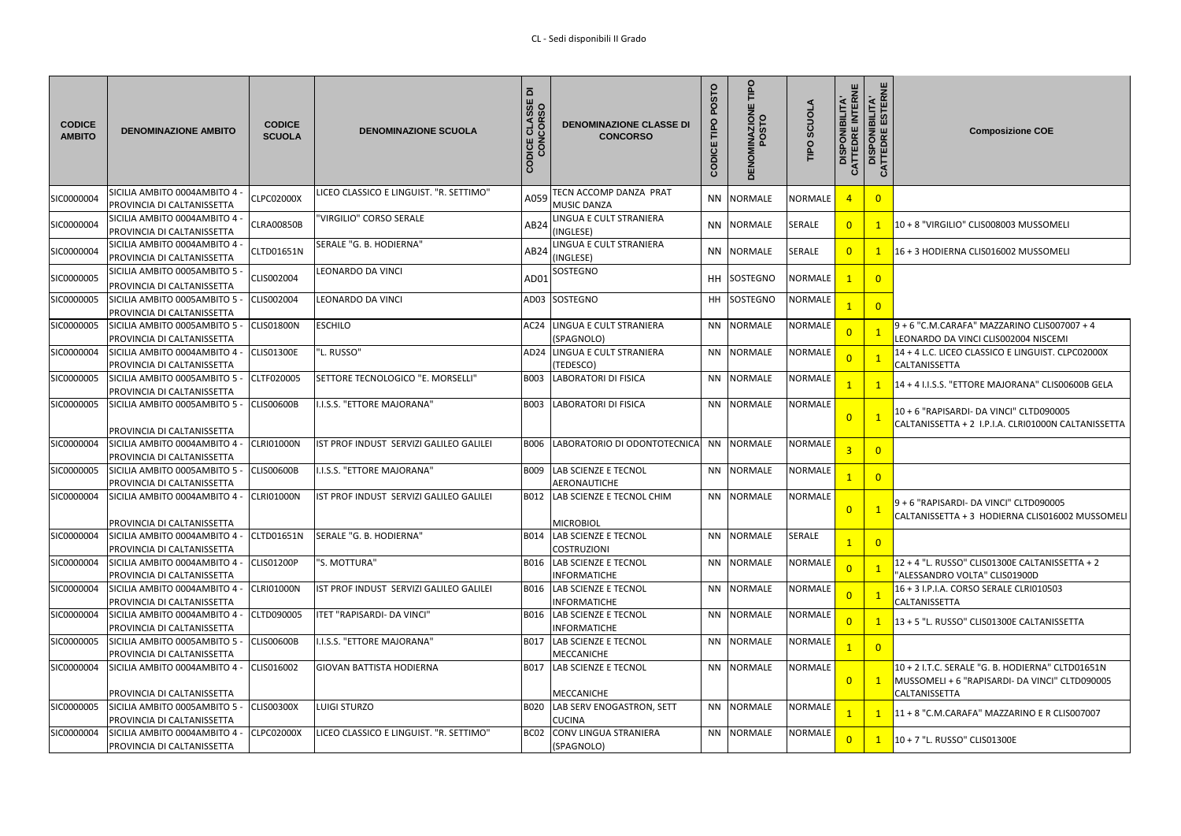| <b>CODICE</b><br><b>AMBITO</b> | <b>DENOMINAZIONE AMBITO</b>                                      | <b>CODICE</b><br><b>SCUOLA</b> | <b>DENOMINAZIONE SCUOLA</b>             | $\overline{\mathbf{a}}$<br>ခြံ ၁<br>$\overline{6}$<br><u>금이</u><br>шZ<br><b>DIS</b><br>CO<br>$\circ$ | <b>DENOMINAZIONE CLASSE DI</b><br><b>CONCORSO</b>       | POSTO<br>TIPO<br>CODICE | Ddil<br><b>ZION</b><br>STO | <b>ATONOS</b><br>TIPO | ш<br><b>ONIBILITA'<br/>DRE INTERNE</b><br><b>DISPON<br/>ATTEDRE<br/>DISPONI<br/>ATTEDRE</b><br>$\mathbf C$ | <b>BILITA'</b><br>ESTERI | <b>Composizione COE</b>                                                                                             |
|--------------------------------|------------------------------------------------------------------|--------------------------------|-----------------------------------------|------------------------------------------------------------------------------------------------------|---------------------------------------------------------|-------------------------|----------------------------|-----------------------|------------------------------------------------------------------------------------------------------------|--------------------------|---------------------------------------------------------------------------------------------------------------------|
| SIC0000004                     | SICILIA AMBITO 0004AMBITO 4<br>PROVINCIA DI CALTANISSETTA        | <b>CLPC02000X</b>              | ICEO CLASSICO E LINGUIST. "R. SETTIMO"  | A059                                                                                                 | TECN ACCOMP DANZA PRAT<br><b>MUSIC DANZA</b>            |                         | NN NORMALE                 | NORMALE               | -4                                                                                                         | $\overline{0}$           |                                                                                                                     |
| SIC0000004                     | SICILIA AMBITO 0004AMBITO 4<br>PROVINCIA DI CALTANISSETTA        | CLRA00850B                     | <b>VIRGILIO" CORSO SERALE</b>           | AB24                                                                                                 | LINGUA E CULT STRANIERA<br>(INGLESE)                    |                         | NN NORMALE                 | <b>SERALE</b>         | $\overline{0}$                                                                                             | $\mathbf{1}$             | 10 + 8 "VIRGILIO" CLIS008003 MUSSOMELI                                                                              |
| SIC0000004                     | SICILIA AMBITO 0004AMBITO 4<br>PROVINCIA DI CALTANISSETTA        | CLTD01651N                     | SERALE "G. B. HODIERNA"                 | AB24                                                                                                 | LINGUA E CULT STRANIERA<br>(INGLESE)                    |                         | NN NORMALE                 | <b>SERALE</b>         | $\overline{0}$                                                                                             |                          | 16 + 3 HODIERNA CLIS016002 MUSSOMELI                                                                                |
| SIC0000005                     | SICILIA AMBITO 0005AMBITO 5<br>PROVINCIA DI CALTANISSETTA        | CLIS002004                     | EONARDO DA VINCI                        | AD <sub>0</sub>                                                                                      | SOSTEGNO                                                |                         | HH SOSTEGNO                | <b>NORMALE</b>        |                                                                                                            | $\overline{0}$           |                                                                                                                     |
| SIC0000005                     | SICILIA AMBITO 0005AMBITO 5<br>PROVINCIA DI CALTANISSETTA        | CLIS002004                     | EONARDO DA VINCI                        |                                                                                                      | AD03 SOSTEGNO                                           |                         | HH SOSTEGNO                | <b>NORMALE</b>        |                                                                                                            | $\overline{0}$           |                                                                                                                     |
| SIC0000005                     | SICILIA AMBITO 0005AMBITO 5<br>PROVINCIA DI CALTANISSETTA        | CLIS01800N                     | <b>ESCHILO</b>                          |                                                                                                      | AC24 LINGUA E CULT STRANIERA<br>(SPAGNOLO)              |                         | NN NORMALE                 | NORMALE               | $\overline{0}$                                                                                             |                          | 9 + 6 "C.M.CARAFA" MAZZARINO CLIS007007 + 4<br>LEONARDO DA VINCI CLIS002004 NISCEMI                                 |
| SIC0000004                     | SICILIA AMBITO 0004AMBITO 4<br>PROVINCIA DI CALTANISSETTA        | CLIS01300E                     | L. RUSSO"                               |                                                                                                      | AD24 LINGUA E CULT STRANIERA<br>(TEDESCO)               |                         | NN NORMALE                 | <b>NORMALE</b>        | $\overline{0}$                                                                                             |                          | 14 + 4 L.C. LICEO CLASSICO E LINGUIST. CLPC02000X<br>CALTANISSETTA                                                  |
| SIC0000005                     | SICILIA AMBITO 0005AMBITO 5<br>PROVINCIA DI CALTANISSETTA        | CLTF020005                     | SETTORE TECNOLOGICO "E. MORSELLI"       | B003                                                                                                 | <b>LABORATORI DI FISICA</b>                             |                         | NN NORMALE                 | <b>NORMALE</b>        |                                                                                                            | $\mathbf{1}$             | 14 + 4 I.I.S.S. "ETTORE MAJORANA" CLIS00600B GELA                                                                   |
| SIC0000005                     | SICILIA AMBITO 0005AMBITO 5<br>PROVINCIA DI CALTANISSETTA        | CLIS00600B                     | I.I.S.S. "ETTORE MAJORANA"              | B003                                                                                                 | <b>LABORATORI DI FISICA</b>                             |                         | NN NORMALE                 | <b>NORMALE</b>        | $\overline{0}$                                                                                             |                          | 10 + 6 "RAPISARDI- DA VINCI" CLTD090005<br>CALTANISSETTA + 2 I.P.I.A. CLRI01000N CALTANISSETTA                      |
| SIC0000004                     | SICILIA AMBITO 0004AMBITO 4<br>PROVINCIA DI CALTANISSETTA        | CLRI01000N                     | IST PROF INDUST SERVIZI GALILEO GALILEI |                                                                                                      | <b>B006 LABORATORIO DI ODONTOTECNICA</b>                |                         | NN NORMALE                 | <b>NORMALE</b>        |                                                                                                            | $\overline{0}$           |                                                                                                                     |
| SIC0000005                     | SICILIA AMBITO 0005AMBITO 5<br>PROVINCIA DI CALTANISSETTA        | <b>CLIS00600B</b>              | <b>.I.S.S. "ETTORE MAJORANA"</b>        | B009                                                                                                 | <b>LAB SCIENZE E TECNOL</b><br>AERONAUTICHE             |                         | NN NORMALE                 | <b>NORMALE</b>        |                                                                                                            | $\overline{0}$           |                                                                                                                     |
| SIC0000004                     | SICILIA AMBITO 0004AMBITO 4<br>PROVINCIA DI CALTANISSETTA        | <b>CLRI01000N</b>              | IST PROF INDUST SERVIZI GALILEO GALILEI | B012                                                                                                 | <b>LAB SCIENZE E TECNOL CHIM</b><br><b>MICROBIOL</b>    |                         | NN NORMALE                 | <b>NORMALE</b>        | $\overline{0}$                                                                                             | $\mathbf{1}$             | 9 + 6 "RAPISARDI- DA VINCI" CLTD090005<br>CALTANISSETTA + 3 HODIERNA CLIS016002 MUSSOMELI                           |
| SIC0000004                     | SICILIA AMBITO 0004AMBITO 4<br><b>PROVINCIA DI CALTANISSETTA</b> | CLTD01651N                     | SERALE "G. B. HODIERNA"                 | B014                                                                                                 | <b>LAB SCIENZE E TECNOL</b><br><b>COSTRUZIONI</b>       |                         | NN NORMALE                 | <b>SERALE</b>         |                                                                                                            | $\overline{0}$           |                                                                                                                     |
| SIC0000004                     | SICILIA AMBITO 0004AMBITO 4<br><b>PROVINCIA DI CALTANISSETTA</b> | <b>CLIS01200P</b>              | "S. MOTTURA"                            | <b>B016</b>                                                                                          | <b>LAB SCIENZE E TECNOL</b><br><b>INFORMATICHE</b>      |                         | NN NORMALE                 | <b>NORMALE</b>        | $\overline{0}$                                                                                             |                          | 12 + 4 "L. RUSSO" CLIS01300E CALTANISSETTA + 2<br>"ALESSANDRO VOLTA" CLIS01900D                                     |
| SIC0000004                     | SICILIA AMBITO 0004AMBITO 4<br>PROVINCIA DI CALTANISSETTA        | CLRI01000N                     | IST PROF INDUST SERVIZI GALILEO GALILEI |                                                                                                      | <b>B016 LAB SCIENZE E TECNOL</b><br><b>INFORMATICHE</b> |                         | NN NORMALE                 | <b>NORMALE</b>        | $\overline{0}$                                                                                             |                          | 16 + 3 I.P.I.A. CORSO SERALE CLRI010503<br><b>CALTANISSETTA</b>                                                     |
| SIC0000004                     | SICILIA AMBITO 0004AMBITO 4<br>PROVINCIA DI CALTANISSETTA        | CLTD090005                     | TET "RAPISARDI- DA VINCI"               | B016                                                                                                 | <b>LAB SCIENZE E TECNOL</b><br><b>INFORMATICHE</b>      |                         | NN NORMALE                 | <b>NORMALE</b>        | $\overline{0}$                                                                                             |                          | 13 + 5 "L. RUSSO" CLIS01300E CALTANISSETTA                                                                          |
| SIC0000005                     | SICILIA AMBITO 0005AMBITO 5<br>PROVINCIA DI CALTANISSETTA        | <b>CLIS00600B</b>              | <b>.I.S.S. "ETTORE MAJORANA"</b>        | <b>B017</b>                                                                                          | <b>LAB SCIENZE E TECNOL</b><br>MECCANICHE               |                         | NN NORMALE                 | <b>NORMALE</b>        |                                                                                                            | $\overline{0}$           |                                                                                                                     |
| SIC0000004                     | SICILIA AMBITO 0004AMBITO 4<br>PROVINCIA DI CALTANISSETTA        | CLIS016002                     | GIOVAN BATTISTA HODIERNA                | B017                                                                                                 | <b>LAB SCIENZE E TECNOL</b><br><b>MECCANICHE</b>        |                         | NN NORMALE                 | <b>NORMALE</b>        | $\overline{0}$                                                                                             | $\mathbf{1}$             | 10 + 2 I.T.C. SERALE "G. B. HODIERNA" CLTD01651N<br>MUSSOMELI + 6 "RAPISARDI- DA VINCI" CLTD090005<br>CALTANISSETTA |
| SIC0000005                     | SICILIA AMBITO 0005AMBITO 5<br>PROVINCIA DI CALTANISSETTA        | <b>CLIS00300X</b>              | LUIGI STURZO                            | <b>B020</b>                                                                                          | LAB SERV ENOGASTRON, SETT<br><b>CUCINA</b>              |                         | NN NORMALE                 | <b>NORMALE</b>        |                                                                                                            | $\overline{1}$           | 11 + 8 "C.M.CARAFA" MAZZARINO E R CLIS007007                                                                        |
| SIC0000004                     | SICILIA AMBITO 0004AMBITO 4<br>PROVINCIA DI CALTANISSETTA        | CLPC02000X                     | ICEO CLASSICO E LINGUIST. "R. SETTIMO"  | BC <sub>02</sub>                                                                                     | <b>CONV LINGUA STRANIERA</b><br>(SPAGNOLO)              |                         | NN NORMALE                 | NORMALE               | $\overline{0}$                                                                                             | $\mathbf{1}$             | $10 + 7$ "L. RUSSO" CLIS01300E                                                                                      |